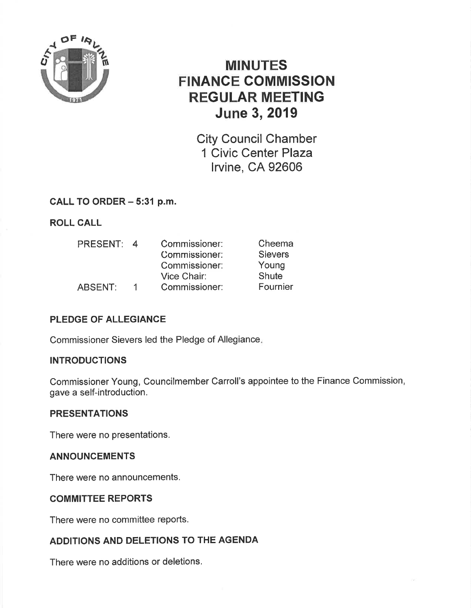

# **MINUTES FINANCE COMMISSION REGULAR MEETING June 3, 2019**

**City Council Chamber** 1 Civic Center Plaza **Irvine, CA 92606** 

CALL TO ORDER - 5:31 p.m.

**ROLL CALL** 

| <b>PRESENT:</b> | $\overline{4}$ | Commissioner: | Cheema         |
|-----------------|----------------|---------------|----------------|
|                 |                | Commissioner: | <b>Sievers</b> |
|                 |                | Commissioner: | Young          |
|                 |                | Vice Chair:   | Shute          |
| <b>ABSENT:</b>  |                | Commissioner: | Fournier       |

## PLEDGE OF ALLEGIANCE

Commissioner Sievers led the Pledge of Allegiance.

## **INTRODUCTIONS**

Commissioner Young, Councilmember Carroll's appointee to the Finance Commission, gave a self-introduction.

## **PRESENTATIONS**

There were no presentations.

## **ANNOUNCEMENTS**

There were no announcements.

#### **COMMITTEE REPORTS**

There were no committee reports.

## ADDITIONS AND DELETIONS TO THE AGENDA

There were no additions or deletions.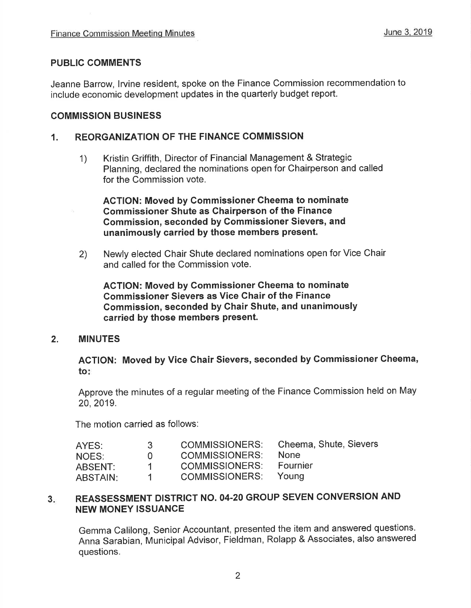#### PUBLIC COMMENTS

Jeanne Barrow, lrvine resident, spoke on the Finance Commission recommendation to include economic development updates in the quarterly budget report.

#### COMMISSION BUSINESS

#### 1. REORGANIZATION OF THE FINANCE COMMISSION

1) Kristin Griffith, Director of Financial Management & Strategic Planning, declared the nominations open for Chairperson and called for the Commission vote.

AGTION: Moved by Commissioner Gheema to nominate Gommissioner Shute as Ghairperson of the Finance Gommission, seconded by Gommissioner Sievers, and unanimously carried by those members present.

2) Newly elected Chair Shute declared nominations open for Vice Chair and called for the Commission vote.

ACTION: Moved by Commissioner Cheema to nominate Commissioner Sievers as Vice Chair of the Finance Commission, seconded by Ghair Shute, and unanimously carried by those members present.

#### 2. MINUTES

ACTION: Moved by Vice Chair Sievers, seconded by Commissioner Cheema, to

Approve the minutes of a regular meeting of the Finance Commission held on May 20,2019.

The motion carried as follows:

| AYES:           | -3-          | <b>COMMISSIONERS:</b> | Cheema, Shute, Sievers |
|-----------------|--------------|-----------------------|------------------------|
| NOES:           | $\mathbf{U}$ | <b>COMMISSIONERS:</b> | <b>None</b>            |
| ABSENT:         | 1.           | <b>COMMISSIONERS:</b> | Fournier               |
| <b>ABSTAIN:</b> |              | COMMISSIONERS: Young  |                        |

# 3. REASSESSMENT DISTRICT NO. 04-20 GROUP SEVEN CONVERSION AND NEW MONEY ISSUANCE

Gemma Calilong, Senior Accountant, presented the item and answered questions. Anna Sarabian, Municipal Advisor, Fieldman, Rolapp & Associates, also answered questions.